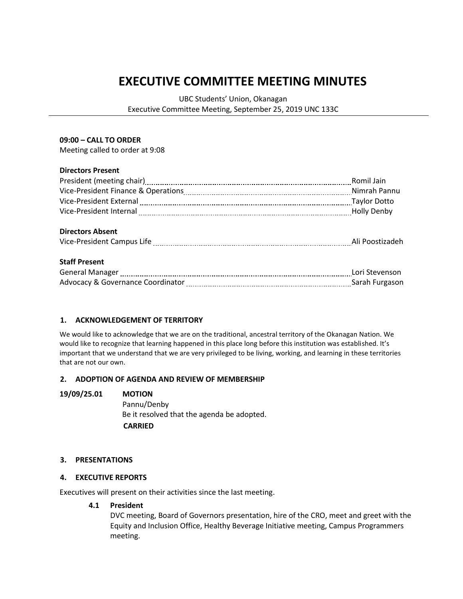# **EXECUTIVE COMMITTEE MEETING MINUTES**

UBC Students' Union, Okanagan

Executive Committee Meeting, September 25, 2019 UNC 133C

## **09:00 – CALL TO ORDER**

Meeting called to order at 9:08

# **Directors Present**

|                                                                                            | Romil Jain |
|--------------------------------------------------------------------------------------------|------------|
|                                                                                            |            |
| Vice-President External [111] Vice-President External [111] Manuschill (2011] Maylor Dotto |            |
|                                                                                            |            |
|                                                                                            |            |
| <b>Directors Absent</b>                                                                    |            |
|                                                                                            |            |
|                                                                                            |            |
| <b>Staff Present</b>                                                                       |            |
|                                                                                            |            |
|                                                                                            |            |
|                                                                                            |            |

# **1. ACKNOWLEDGEMENT OF TERRITORY**

We would like to acknowledge that we are on the traditional, ancestral territory of the Okanagan Nation. We would like to recognize that learning happened in this place long before this institution was established. It's important that we understand that we are very privileged to be living, working, and learning in these territories that are not our own.

# **2. ADOPTION OF AGENDA AND REVIEW OF MEMBERSHIP**

### **19/09/25.01 MOTION**

Pannu/Denby Be it resolved that the agenda be adopted.  **CARRIED**

# **3. PRESENTATIONS**

# **4. EXECUTIVE REPORTS**

Executives will present on their activities since the last meeting.

### **4.1 President**

DVC meeting, Board of Governors presentation, hire of the CRO, meet and greet with the Equity and Inclusion Office, Healthy Beverage Initiative meeting, Campus Programmers meeting.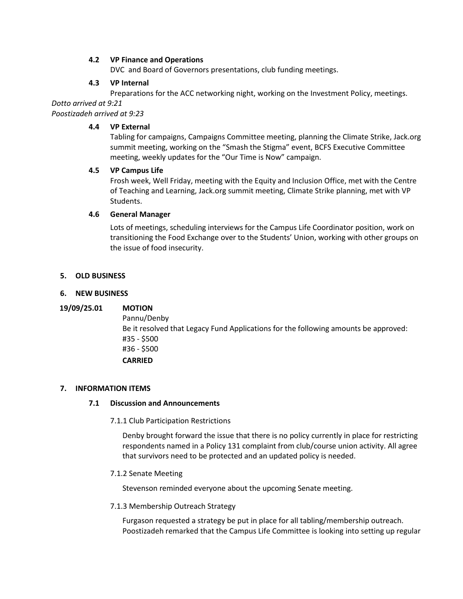# **4.2 VP Finance and Operations**

DVC and Board of Governors presentations, club funding meetings.

## **4.3 VP Internal**

Preparations for the ACC networking night, working on the Investment Policy, meetings.

*Dotto arrived at 9:21*

*Poostizadeh arrived at 9:23*

## **4.4 VP External**

Tabling for campaigns, Campaigns Committee meeting, planning the Climate Strike, Jack.org summit meeting, working on the "Smash the Stigma" event, BCFS Executive Committee meeting, weekly updates for the "Our Time is Now" campaign.

## **4.5 VP Campus Life**

Frosh week, Well Friday, meeting with the Equity and Inclusion Office, met with the Centre of Teaching and Learning, Jack.org summit meeting, Climate Strike planning, met with VP Students.

## **4.6 General Manager**

Lots of meetings, scheduling interviews for the Campus Life Coordinator position, work on transitioning the Food Exchange over to the Students' Union, working with other groups on the issue of food insecurity.

## **5. OLD BUSINESS**

## **6. NEW BUSINESS**

# **19/09/25.01 MOTION**

Pannu/Denby Be it resolved that Legacy Fund Applications for the following amounts be approved: #35 - \$500 #36 - \$500 **CARRIED**

### **7. INFORMATION ITEMS**

### **7.1 Discussion and Announcements**

7.1.1 Club Participation Restrictions

Denby brought forward the issue that there is no policy currently in place for restricting respondents named in a Policy 131 complaint from club/course union activity. All agree that survivors need to be protected and an updated policy is needed.

### 7.1.2 Senate Meeting

Stevenson reminded everyone about the upcoming Senate meeting.

### 7.1.3 Membership Outreach Strategy

Furgason requested a strategy be put in place for all tabling/membership outreach. Poostizadeh remarked that the Campus Life Committee is looking into setting up regular